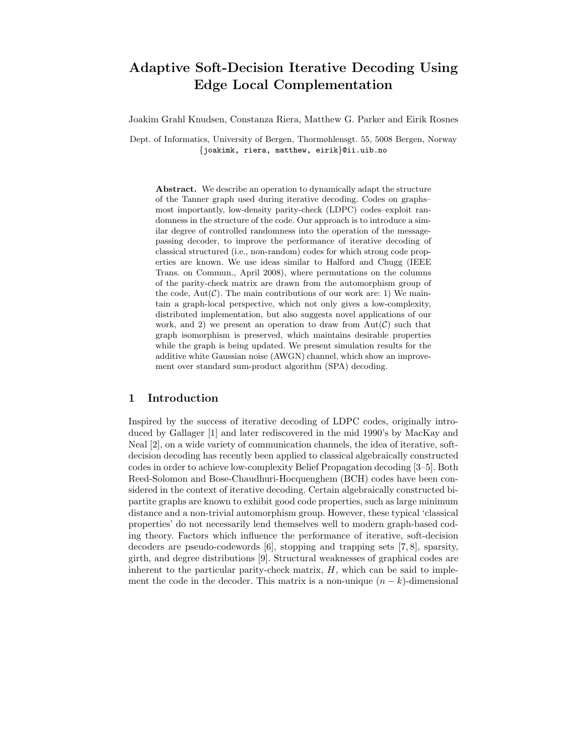# Adaptive Soft-Decision Iterative Decoding Using Edge Local Complementation

Joakim Grahl Knudsen, Constanza Riera, Matthew G. Parker and Eirik Rosnes

Dept. of Informatics, University of Bergen, Thormøhlensgt. 55, 5008 Bergen, Norway {joakimk, riera, matthew, eirik}@ii.uib.no

Abstract. We describe an operation to dynamically adapt the structure of the Tanner graph used during iterative decoding. Codes on graphs– most importantly, low-density parity-check (LDPC) codes–exploit randomness in the structure of the code. Our approach is to introduce a similar degree of controlled randomness into the operation of the messagepassing decoder, to improve the performance of iterative decoding of classical structured (i.e., non-random) codes for which strong code properties are known. We use ideas similar to Halford and Chugg (IEEE Trans. on Commun., April 2008), where permutations on the columns of the parity-check matrix are drawn from the automorphism group of the code,  $Aut(\mathcal{C})$ . The main contributions of our work are: 1) We maintain a graph-local perspective, which not only gives a low-complexity, distributed implementation, but also suggests novel applications of our work, and 2) we present an operation to draw from  $Aut(\mathcal{C})$  such that graph isomorphism is preserved, which maintains desirable properties while the graph is being updated. We present simulation results for the additive white Gaussian noise (AWGN) channel, which show an improvement over standard sum-product algorithm (SPA) decoding.

## 1 Introduction

Inspired by the success of iterative decoding of LDPC codes, originally introduced by Gallager [1] and later rediscovered in the mid 1990's by MacKay and Neal [2], on a wide variety of communication channels, the idea of iterative, softdecision decoding has recently been applied to classical algebraically constructed codes in order to achieve low-complexity Belief Propagation decoding [3–5]. Both Reed-Solomon and Bose-Chaudhuri-Hocquenghem (BCH) codes have been considered in the context of iterative decoding. Certain algebraically constructed bipartite graphs are known to exhibit good code properties, such as large minimum distance and a non-trivial automorphism group. However, these typical 'classical properties' do not necessarily lend themselves well to modern graph-based coding theory. Factors which influence the performance of iterative, soft-decision decoders are pseudo-codewords [6], stopping and trapping sets [7, 8], sparsity, girth, and degree distributions [9]. Structural weaknesses of graphical codes are inherent to the particular parity-check matrix,  $H$ , which can be said to implement the code in the decoder. This matrix is a non-unique  $(n - k)$ -dimensional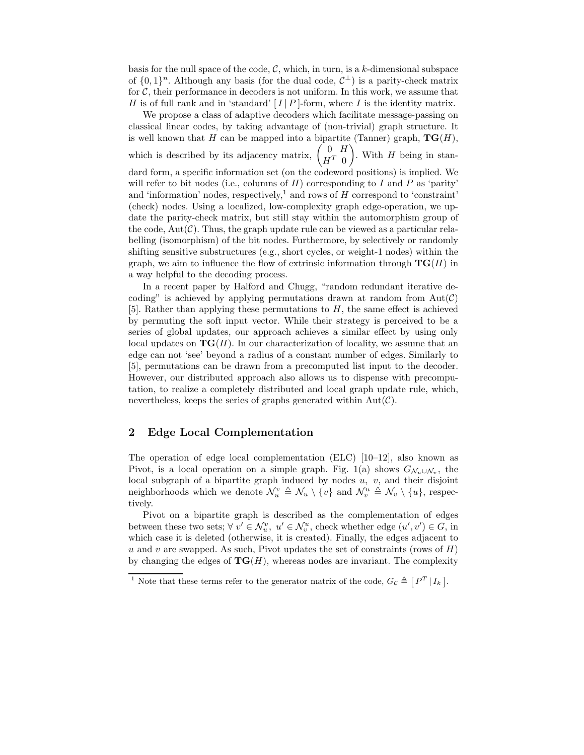basis for the null space of the code,  $\mathcal{C}$ , which, in turn, is a k-dimensional subspace of  $\{0,1\}^n$ . Although any basis (for the dual code,  $\mathcal{C}^{\perp}$ ) is a parity-check matrix for  $\mathcal{C}$ , their performance in decoders is not uniform. In this work, we assume that H is of full rank and in 'standard'  $[I | P]$ -form, where I is the identity matrix.

We propose a class of adaptive decoders which facilitate message-passing on classical linear codes, by taking advantage of (non-trivial) graph structure. It is well known that H can be mapped into a bipartite (Tanner) graph,  $TG(H)$ , which is described by its adjacency matrix,  $\begin{pmatrix} 0 & H \\ trT & 0 \end{pmatrix}$  $H^T$  0 ). With  $H$  being in standard form, a specific information set (on the codeword positions) is implied. We will refer to bit nodes (i.e., columns of  $H$ ) corresponding to I and P as 'parity' and 'information' nodes, respectively,<sup>1</sup> and rows of  $H$  correspond to 'constraint' (check) nodes. Using a localized, low-complexity graph edge-operation, we update the parity-check matrix, but still stay within the automorphism group of the code,  $Aut(\mathcal{C})$ . Thus, the graph update rule can be viewed as a particular relabelling (isomorphism) of the bit nodes. Furthermore, by selectively or randomly shifting sensitive substructures (e.g., short cycles, or weight-1 nodes) within the graph, we aim to influence the flow of extrinsic information through  $\mathbf{TG}(H)$  in a way helpful to the decoding process.

In a recent paper by Halford and Chugg, "random redundant iterative decoding" is achieved by applying permutations drawn at random from  $Aut(\mathcal{C})$ [5]. Rather than applying these permutations to H, the same effect is achieved by permuting the soft input vector. While their strategy is perceived to be a series of global updates, our approach achieves a similar effect by using only local updates on  $TG(H)$ . In our characterization of locality, we assume that an edge can not 'see' beyond a radius of a constant number of edges. Similarly to [5], permutations can be drawn from a precomputed list input to the decoder. However, our distributed approach also allows us to dispense with precomputation, to realize a completely distributed and local graph update rule, which, nevertheless, keeps the series of graphs generated within  $Aut(\mathcal{C})$ .

# 2 Edge Local Complementation

The operation of edge local complementation (ELC) [10–12], also known as Pivot, is a local operation on a simple graph. Fig. 1(a) shows  $G_{\mathcal{N}_u \cup \mathcal{N}_v}$ , the local subgraph of a bipartite graph induced by nodes  $u, v$ , and their disjoint neighborhoods which we denote  $\mathcal{N}_u^v \triangleq \mathcal{N}_u \setminus \{v\}$  and  $\mathcal{N}_v^u \triangleq \mathcal{N}_v \setminus \{u\}$ , respectively.

Pivot on a bipartite graph is described as the complementation of edges between these two sets;  $\forall v' \in \mathcal{N}_u^v$ ,  $u' \in \mathcal{N}_v^u$ , check whether edge  $(u', v') \in G$ , in which case it is deleted (otherwise, it is created). Finally, the edges adjacent to u and v are swapped. As such, Pivot updates the set of constraints (rows of  $H$ ) by changing the edges of  $TG(H)$ , whereas nodes are invariant. The complexity

<sup>&</sup>lt;sup>1</sup> Note that these terms refer to the generator matrix of the code,  $G_{\mathcal{C}} \triangleq [P^T | I_k].$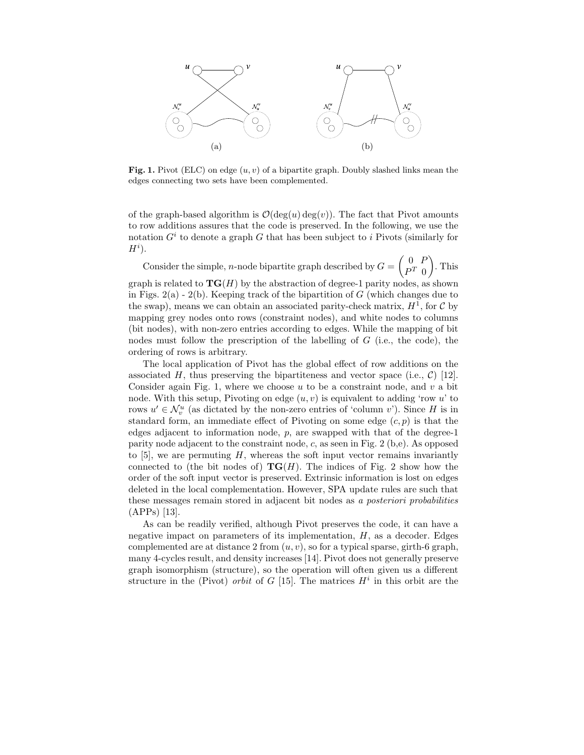

**Fig. 1.** Pivot (ELC) on edge  $(u, v)$  of a bipartite graph. Doubly slashed links mean the edges connecting two sets have been complemented.

of the graph-based algorithm is  $\mathcal{O}(\deg(u) \deg(v))$ . The fact that Pivot amounts to row additions assures that the code is preserved. In the following, we use the notation  $G^i$  to denote a graph G that has been subject to i Pivots (similarly for  $H^i$ ).

Consider the simple, *n*-node bipartite graph described by  $G = \begin{pmatrix} 0 & F \\ pT & 0 \end{pmatrix}$  $P^T$  0 . This graph is related to  $TG(H)$  by the abstraction of degree-1 parity nodes, as shown in Figs.  $2(a)$  -  $2(b)$ . Keeping track of the bipartition of G (which changes due to the swap), means we can obtain an associated parity-check matrix,  $H^{\tilde{1}}$ , for C by mapping grey nodes onto rows (constraint nodes), and white nodes to columns (bit nodes), with non-zero entries according to edges. While the mapping of bit nodes must follow the prescription of the labelling of G (i.e., the code), the ordering of rows is arbitrary.

The local application of Pivot has the global effect of row additions on the associated H, thus preserving the bipartiteness and vector space (i.e.,  $\mathcal{C}$ ) [12]. Consider again Fig. 1, where we choose  $u$  to be a constraint node, and  $v$  a bit node. With this setup, Pivoting on edge  $(u, v)$  is equivalent to adding 'row u' to rows  $u' \in \mathcal{N}_v^u$  (as dictated by the non-zero entries of 'column v'). Since H is in standard form, an immediate effect of Pivoting on some edge  $(c, p)$  is that the edges adjacent to information node,  $p$ , are swapped with that of the degree-1 parity node adjacent to the constraint node, c, as seen in Fig. 2 (b,e). As opposed to  $[5]$ , we are permuting H, whereas the soft input vector remains invariantly connected to (the bit nodes of)  $TG(H)$ . The indices of Fig. 2 show how the order of the soft input vector is preserved. Extrinsic information is lost on edges deleted in the local complementation. However, SPA update rules are such that these messages remain stored in adjacent bit nodes as a posteriori probabilities (APPs) [13].

As can be readily verified, although Pivot preserves the code, it can have a negative impact on parameters of its implementation,  $H$ , as a decoder. Edges complemented are at distance 2 from  $(u, v)$ , so for a typical sparse, girth-6 graph, many 4-cycles result, and density increases [14]. Pivot does not generally preserve graph isomorphism (structure), so the operation will often given us a different structure in the (Pivot) *orbit* of  $G$  [15]. The matrices  $H<sup>i</sup>$  in this orbit are the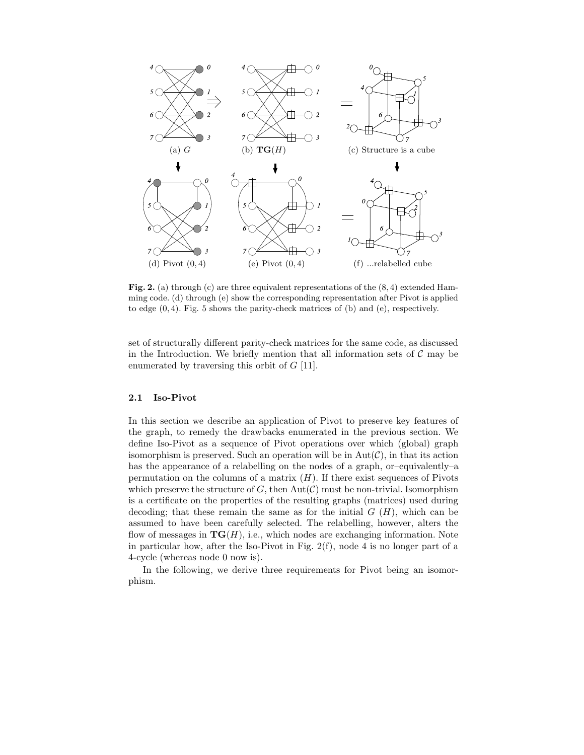

Fig. 2. (a) through (c) are three equivalent representations of the  $(8, 4)$  extended Hamming code. (d) through (e) show the corresponding representation after Pivot is applied to edge  $(0, 4)$ . Fig. 5 shows the parity-check matrices of  $(b)$  and  $(e)$ , respectively.

set of structurally different parity-check matrices for the same code, as discussed in the Introduction. We briefly mention that all information sets of  $\mathcal C$  may be enumerated by traversing this orbit of  $G$  [11].

#### 2.1 Iso-Pivot

In this section we describe an application of Pivot to preserve key features of the graph, to remedy the drawbacks enumerated in the previous section. We define Iso-Pivot as a sequence of Pivot operations over which (global) graph isomorphism is preserved. Such an operation will be in  $Aut(\mathcal{C})$ , in that its action has the appearance of a relabelling on the nodes of a graph, or–equivalently–a permutation on the columns of a matrix  $(H)$ . If there exist sequences of Pivots which preserve the structure of  $G$ , then  $Aut(\mathcal{C})$  must be non-trivial. Isomorphism is a certificate on the properties of the resulting graphs (matrices) used during decoding; that these remain the same as for the initial  $G(H)$ , which can be assumed to have been carefully selected. The relabelling, however, alters the flow of messages in  $TG(H)$ , i.e., which nodes are exchanging information. Note in particular how, after the Iso-Pivot in Fig. 2(f), node 4 is no longer part of a 4-cycle (whereas node 0 now is).

In the following, we derive three requirements for Pivot being an isomorphism.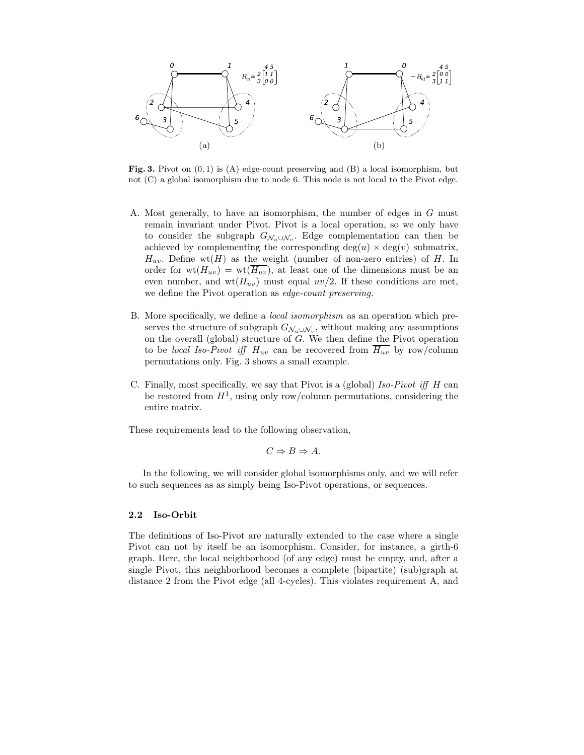

Fig. 3. Pivot on  $(0, 1)$  is  $(A)$  edge-count preserving and  $(B)$  a local isomorphism, but not (C) a global isomorphism due to node 6. This node is not local to the Pivot edge.

- A. Most generally, to have an isomorphism, the number of edges in G must remain invariant under Pivot. Pivot is a local operation, so we only have to consider the subgraph  $G_{\mathcal{N}_u \cup \mathcal{N}_v}$ . Edge complementation can then be achieved by complementing the corresponding  $deg(u) \times deg(v)$  submatrix,  $H_{uv}$ . Define wt(H) as the weight (number of non-zero entries) of H. In order for  $wt(H_{uv}) = wt(\overline{H_{uv}})$ , at least one of the dimensions must be an even number, and  $wt(H_{uv})$  must equal  $uv/2$ . If these conditions are met, we define the Pivot operation as edge-count preserving.
- B. More specifically, we define a local isomorphism as an operation which preserves the structure of subgraph  $G_{\mathcal{N}_u \cup \mathcal{N}_v}$ , without making any assumptions on the overall (global) structure of G. We then define the Pivot operation to be *local Iso-Pivot iff*  $H_{uv}$  can be recovered from  $\overline{H_{uv}}$  by row/column permutations only. Fig. 3 shows a small example.
- C. Finally, most specifically, we say that Pivot is a (global) Iso-Pivot iff H can be restored from  $H^1$ , using only row/column permutations, considering the entire matrix.

These requirements lead to the following observation,

$$
C \Rightarrow B \Rightarrow A.
$$

In the following, we will consider global isomorphisms only, and we will refer to such sequences as as simply being Iso-Pivot operations, or sequences.

#### 2.2 Iso-Orbit

The definitions of Iso-Pivot are naturally extended to the case where a single Pivot can not by itself be an isomorphism. Consider, for instance, a girth-6 graph. Here, the local neighborhood (of any edge) must be empty, and, after a single Pivot, this neighborhood becomes a complete (bipartite) (sub)graph at distance 2 from the Pivot edge (all 4-cycles). This violates requirement A, and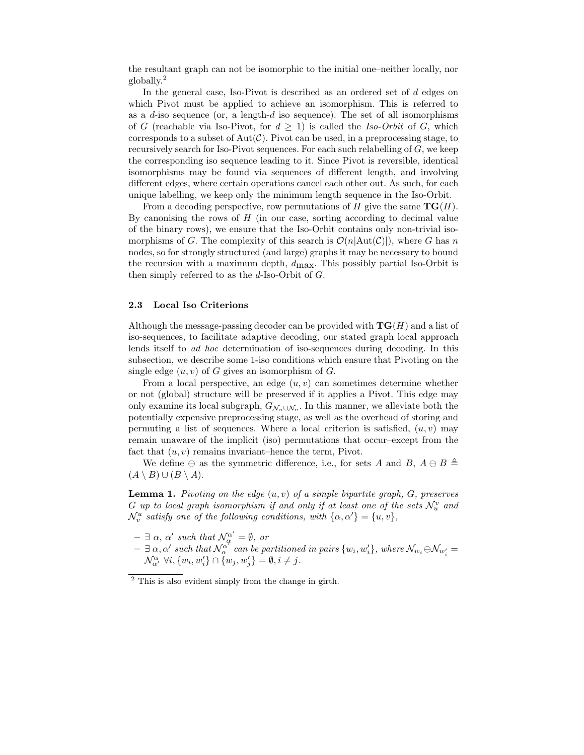the resultant graph can not be isomorphic to the initial one–neither locally, nor globally.<sup>2</sup>

In the general case, Iso-Pivot is described as an ordered set of d edges on which Pivot must be applied to achieve an isomorphism. This is referred to as a  $d$ -iso sequence (or, a length- $d$  iso sequence). The set of all isomorphisms of G (reachable via Iso-Pivot, for  $d \geq 1$ ) is called the Iso-Orbit of G, which corresponds to a subset of  $Aut(\mathcal{C})$ . Pivot can be used, in a preprocessing stage, to recursively search for Iso-Pivot sequences. For each such relabelling of  $G$ , we keep the corresponding iso sequence leading to it. Since Pivot is reversible, identical isomorphisms may be found via sequences of different length, and involving different edges, where certain operations cancel each other out. As such, for each unique labelling, we keep only the minimum length sequence in the Iso-Orbit.

From a decoding perspective, row permutations of H give the same  $TG(H)$ . By canonising the rows of  $H$  (in our case, sorting according to decimal value of the binary rows), we ensure that the Iso-Orbit contains only non-trivial isomorphisms of G. The complexity of this search is  $\mathcal{O}(n|\text{Aut}(\mathcal{C})|)$ , where G has n nodes, so for strongly structured (and large) graphs it may be necessary to bound the recursion with a maximum depth,  $d_{\text{max}}$ . This possibly partial Iso-Orbit is then simply referred to as the  $d$ -Iso-Orbit of  $G$ .

#### 2.3 Local Iso Criterions

Although the message-passing decoder can be provided with  $\mathbf{TG}(H)$  and a list of iso-sequences, to facilitate adaptive decoding, our stated graph local approach lends itself to ad hoc determination of iso-sequences during decoding. In this subsection, we describe some 1-iso conditions which ensure that Pivoting on the single edge  $(u, v)$  of G gives an isomorphism of G.

From a local perspective, an edge  $(u, v)$  can sometimes determine whether or not (global) structure will be preserved if it applies a Pivot. This edge may only examine its local subgraph,  $G_{\mathcal{N}_u \cup \mathcal{N}_v}$ . In this manner, we alleviate both the potentially expensive preprocessing stage, as well as the overhead of storing and permuting a list of sequences. Where a local criterion is satisfied,  $(u, v)$  may remain unaware of the implicit (iso) permutations that occur–except from the fact that  $(u, v)$  remains invariant–hence the term, Pivot.

We define  $\ominus$  as the symmetric difference, i.e., for sets A and B,  $A \ominus B \triangleq$  $(A \setminus B) \cup (B \setminus A).$ 

**Lemma 1.** Pivoting on the edge  $(u, v)$  of a simple bipartite graph,  $G$ , preserves G up to local graph isomorphism if and only if at least one of the sets  $\mathcal{N}_u^v$  and  $\mathcal{N}_v^u$  satisfy one of the following conditions, with  $\{\alpha, \alpha'\} = \{u, v\},\$ 

- $\exists \alpha, \alpha' \text{ such that } \mathcal{N}_{\alpha}^{\alpha'} = \emptyset, \text{ or }$
- $\exists \alpha, \alpha' \text{ such that } \mathcal{N}_{\alpha}^{\alpha'} \text{ can be partitioned in pairs } \{w_i, w_i'\}, \text{ where } \mathcal{N}_{w_i} \ominus \mathcal{N}_{w_i'} = 0$  $\mathcal{N}_{\alpha'}^{\alpha}$   $\forall i, \{w_i, w_i'\} \cap \overline{\{w_j, w_j'\}} = \emptyset, i \neq j.$

<sup>2</sup> This is also evident simply from the change in girth.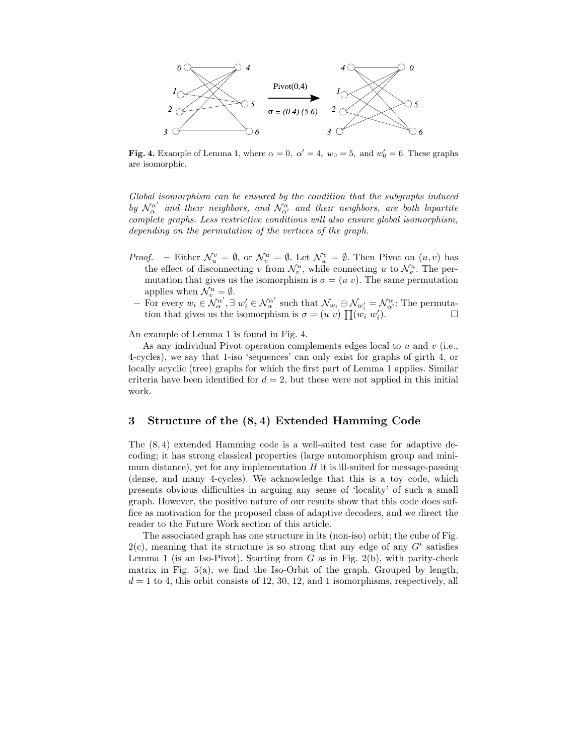

Fig. 4. Example of Lemma 1, where  $\alpha = 0$ ,  $\alpha' = 4$ ,  $w_0 = 5$ , and  $w'_0 = 6$ . These graphs are isomorphic.

Global isomorphism can be ensured by the condition that the subgraphs induced by  $\mathcal{N}_{\alpha}^{\alpha'}$  and their neighbors, and  $\mathcal{N}_{\alpha'}^{\alpha}$  and their neighbors, are both bipartite complete graphs. Less restrictive conditions will also ensure global isomorphism, depending on the permutation of the vertices of the graph.

- *Proof.* Either  $\mathcal{N}_u^v = \emptyset$ , or  $\mathcal{N}_v^u = \emptyset$ . Let  $\mathcal{N}_u^v = \emptyset$ . Then Pivot on  $(u, v)$  has the effect of disconnecting v from  $\mathcal{N}_v^u$ , while connecting u to  $\mathcal{N}_v^u$ . The permutation that gives us the isomorphism is  $\sigma = (u \, v)$ . The same permutation applies when  $\mathcal{N}_v^u = \emptyset$ .
	- For every  $w_i \in \mathcal{N}_{\alpha}^{\alpha'}$ ,  $\exists w_i' \in \mathcal{N}_{\alpha}^{\alpha'}$  such that  $\mathcal{N}_{w_i} \ominus \mathcal{N}_{w_i'} = \mathcal{N}_{\alpha'}^{\alpha}$ . The permutation that gives us the isomorphism is  $\sigma = (u \ v) \prod_{i} (w_i \ w_i')$ .

An example of Lemma 1 is found in Fig. 4.

As any individual Pivot operation complements edges local to  $u$  and  $v$  (i.e., 4-cycles), we say that 1-iso 'sequences' can only exist for graphs of girth 4, or locally acyclic (tree) graphs for which the first part of Lemma 1 applies. Similar criteria have been identified for  $d = 2$ , but these were not applied in this initial work.

### 3 Structure of the (8, 4) Extended Hamming Code

The (8, 4) extended Hamming code is a well-suited test case for adaptive decoding; it has strong classical properties (large automorphism group and minimum distance), yet for any implementation  $H$  it is ill-suited for message-passing (dense, and many 4-cycles). We acknowledge that this is a toy code, which presents obvious difficulties in arguing any sense of 'locality' of such a small graph. However, the positive nature of our results show that this code does suffice as motivation for the proposed class of adaptive decoders, and we direct the reader to the Future Work section of this article.

The associated graph has one structure in its (non-iso) orbit; the cube of Fig.  $2(c)$ , meaning that its structure is so strong that any edge of any  $G<sup>i</sup>$  satisfies Lemma 1 (is an Iso-Pivot). Starting from  $G$  as in Fig. 2(b), with parity-check matrix in Fig.  $5(a)$ , we find the Iso-Orbit of the graph. Grouped by length,  $d = 1$  to 4, this orbit consists of 12, 30, 12, and 1 isomorphisms, respectively, all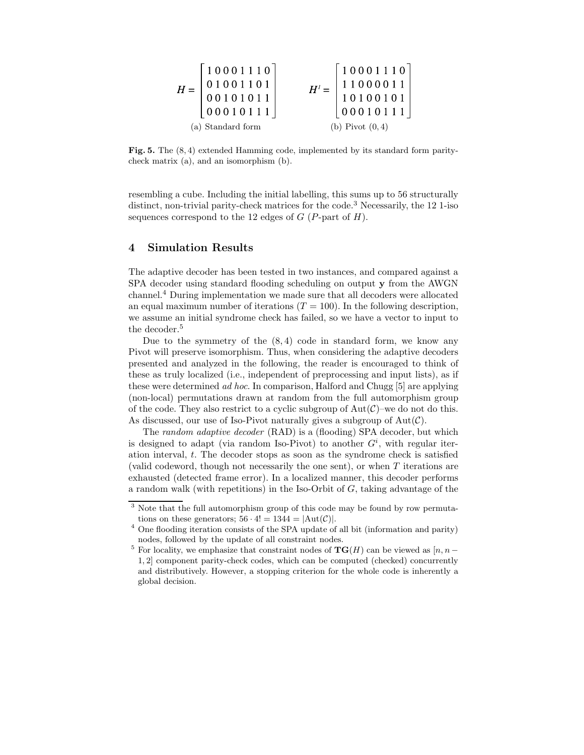| $H =$             | $\begin{bmatrix} 1 & 0 & 0 & 0 & 1 & 1 & 1 & 0 \\ 0 & 1 & 0 & 0 & 1 & 1 & 0 & 1 \\ 0 & 0 & 1 & 0 & 1 & 0 & 1 & 1 \\ 0 & 0 & 0 & 1 & 0 & 1 & 1 & 1 \end{bmatrix}$ | $H'=\left[ \begin{array}{rrr} 1&0&0&0&1&1&1&0\\ 1&1&0&0&0&0&1&1\\ 1&0&1&0&0&1&0&1\\ 0&0&0&1&0&1&1&1 \end{array} \right]$ |  |
|-------------------|------------------------------------------------------------------------------------------------------------------------------------------------------------------|--------------------------------------------------------------------------------------------------------------------------|--|
| (a) Standard form |                                                                                                                                                                  | (b) Pivot $(0,4)$                                                                                                        |  |

Fig. 5. The (8, 4) extended Hamming code, implemented by its standard form paritycheck matrix (a), and an isomorphism (b).

resembling a cube. Including the initial labelling, this sums up to 56 structurally distinct, non-trivial parity-check matrices for the code.<sup>3</sup> Necessarily, the 12 1-iso sequences correspond to the 12 edges of  $G$  (P-part of  $H$ ).

## 4 Simulation Results

The adaptive decoder has been tested in two instances, and compared against a SPA decoder using standard flooding scheduling on output y from the AWGN channel.<sup>4</sup> During implementation we made sure that all decoders were allocated an equal maximum number of iterations  $(T = 100)$ . In the following description, we assume an initial syndrome check has failed, so we have a vector to input to the decoder.<sup>5</sup>

Due to the symmetry of the  $(8, 4)$  code in standard form, we know any Pivot will preserve isomorphism. Thus, when considering the adaptive decoders presented and analyzed in the following, the reader is encouraged to think of these as truly localized (i.e., independent of preprocessing and input lists), as if these were determined ad hoc. In comparison, Halford and Chugg [5] are applying (non-local) permutations drawn at random from the full automorphism group of the code. They also restrict to a cyclic subgroup of  $Aut(\mathcal{C})$ –we do not do this. As discussed, our use of Iso-Pivot naturally gives a subgroup of  $Aut(\mathcal{C})$ .

The random adaptive decoder (RAD) is a (flooding) SPA decoder, but which is designed to adapt (via random Iso-Pivot) to another  $G<sup>i</sup>$ , with regular iteration interval, t. The decoder stops as soon as the syndrome check is satisfied (valid codeword, though not necessarily the one sent), or when T iterations are exhausted (detected frame error). In a localized manner, this decoder performs a random walk (with repetitions) in the Iso-Orbit of  $G$ , taking advantage of the

<sup>&</sup>lt;sup>3</sup> Note that the full automorphism group of this code may be found by row permutations on these generators;  $56 \cdot 4! = 1344 = |Aut(\mathcal{C})|$ .

<sup>4</sup> One flooding iteration consists of the SPA update of all bit (information and parity) nodes, followed by the update of all constraint nodes.

<sup>&</sup>lt;sup>5</sup> For locality, we emphasize that constraint nodes of  $TG(H)$  can be viewed as  $[n, n-$ 1, 2] component parity-check codes, which can be computed (checked) concurrently and distributively. However, a stopping criterion for the whole code is inherently a global decision.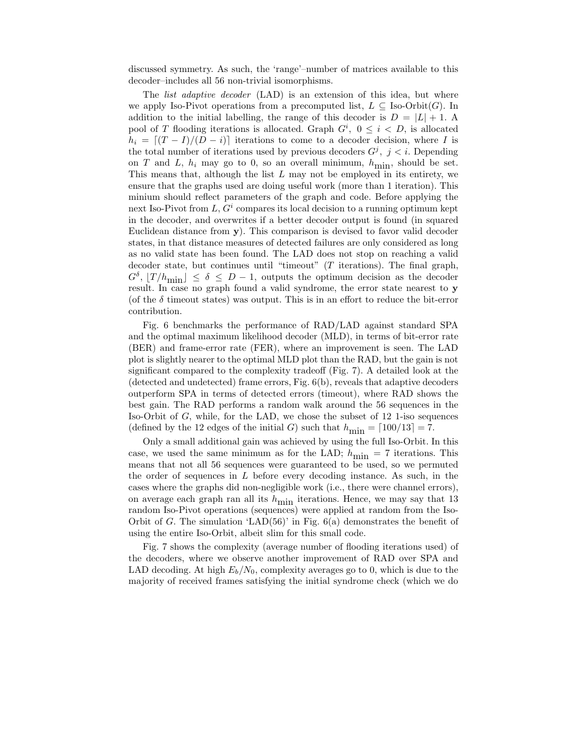discussed symmetry. As such, the 'range'–number of matrices available to this decoder–includes all 56 non-trivial isomorphisms.

The *list adaptive decoder* (LAD) is an extension of this idea, but where we apply Iso-Pivot operations from a precomputed list,  $L \subseteq \text{Iso-Orbit}(G)$ . In addition to the initial labelling, the range of this decoder is  $D = |L| + 1$ . pool of T flooding iterations is allocated. Graph  $G^i$ ,  $0 \leq i \leq D$ , is allocated  $h_i = [(T - I)/(D - i)]$  iterations to come to a decoder decision, where I is the total number of iterations used by previous decoders  $G^j$ ,  $j < i$ . Depending on T and L,  $h_i$  may go to 0, so an overall minimum,  $h_{\text{min}}$ , should be set. This means that, although the list  $L$  may not be employed in its entirety, we ensure that the graphs used are doing useful work (more than 1 iteration). This minium should reflect parameters of the graph and code. Before applying the next Iso-Pivot from  $L, G^i$  compares its local decision to a running optimum kept in the decoder, and overwrites if a better decoder output is found (in squared Euclidean distance from y). This comparison is devised to favor valid decoder states, in that distance measures of detected failures are only considered as long as no valid state has been found. The LAD does not stop on reaching a valid decoder state, but continues until "timeout"  $(T$  iterations). The final graph,  $G^{\delta}$ ,  $[T/h_{\min}] \leq \delta \leq D-1$ , outputs the optimum decision as the decoder result. In case no graph found a valid syndrome, the error state nearest to y (of the  $\delta$  timeout states) was output. This is in an effort to reduce the bit-error contribution.

Fig. 6 benchmarks the performance of RAD/LAD against standard SPA and the optimal maximum likelihood decoder (MLD), in terms of bit-error rate (BER) and frame-error rate (FER), where an improvement is seen. The LAD plot is slightly nearer to the optimal MLD plot than the RAD, but the gain is not significant compared to the complexity tradeoff (Fig. 7). A detailed look at the (detected and undetected) frame errors, Fig. 6(b), reveals that adaptive decoders outperform SPA in terms of detected errors (timeout), where RAD shows the best gain. The RAD performs a random walk around the 56 sequences in the Iso-Orbit of G, while, for the LAD, we chose the subset of 12 1-iso sequences (defined by the 12 edges of the initial G) such that  $h_{\text{min}} = \lfloor 100/13 \rfloor = 7$ .

Only a small additional gain was achieved by using the full Iso-Orbit. In this case, we used the same minimum as for the LAD;  $h_{\text{min}} = 7$  iterations. This means that not all 56 sequences were guaranteed to be used, so we permuted the order of sequences in  $L$  before every decoding instance. As such, in the cases where the graphs did non-negligible work (i.e., there were channel errors), on average each graph ran all its  $h_{\text{min}}$  iterations. Hence, we may say that 13 random Iso-Pivot operations (sequences) were applied at random from the Iso-Orbit of G. The simulation 'LAD $(56)$ ' in Fig.  $6(a)$  demonstrates the benefit of using the entire Iso-Orbit, albeit slim for this small code.

Fig. 7 shows the complexity (average number of flooding iterations used) of the decoders, where we observe another improvement of RAD over SPA and LAD decoding. At high  $E_b/N_0$ , complexity averages go to 0, which is due to the majority of received frames satisfying the initial syndrome check (which we do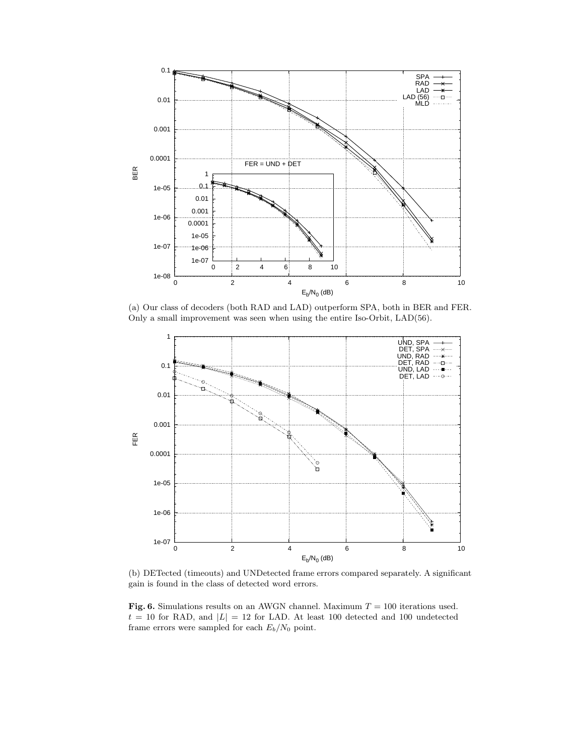

(a) Our class of decoders (both RAD and LAD) outperform SPA, both in BER and FER. Only a small improvement was seen when using the entire Iso-Orbit, LAD(56).



(b) DETected (timeouts) and UNDetected frame errors compared separately. A significant gain is found in the class of detected word errors.

Fig. 6. Simulations results on an AWGN channel. Maximum  $T = 100$  iterations used.  $t = 10$  for RAD, and  $|L| = 12$  for LAD. At least 100 detected and 100 undetected frame errors were sampled for each  $E_b/N_0$  point.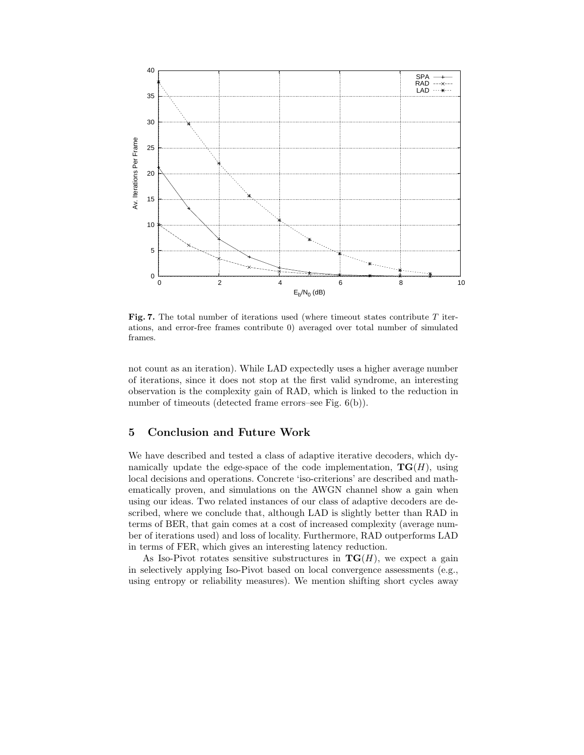

**Fig. 7.** The total number of iterations used (where timeout states contribute  $T$  iterations, and error-free frames contribute 0) averaged over total number of simulated frames.

not count as an iteration). While LAD expectedly uses a higher average number of iterations, since it does not stop at the first valid syndrome, an interesting observation is the complexity gain of RAD, which is linked to the reduction in number of timeouts (detected frame errors–see Fig. 6(b)).

# 5 Conclusion and Future Work

We have described and tested a class of adaptive iterative decoders, which dynamically update the edge-space of the code implementation,  $\mathbf{TG}(H)$ , using local decisions and operations. Concrete 'iso-criterions' are described and mathematically proven, and simulations on the AWGN channel show a gain when using our ideas. Two related instances of our class of adaptive decoders are described, where we conclude that, although LAD is slightly better than RAD in terms of BER, that gain comes at a cost of increased complexity (average number of iterations used) and loss of locality. Furthermore, RAD outperforms LAD in terms of FER, which gives an interesting latency reduction.

As Iso-Pivot rotates sensitive substructures in  $TG(H)$ , we expect a gain in selectively applying Iso-Pivot based on local convergence assessments (e.g., using entropy or reliability measures). We mention shifting short cycles away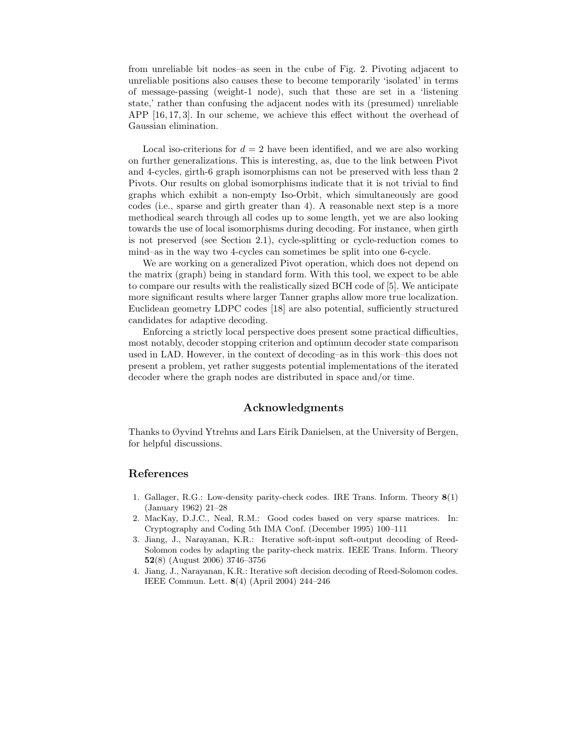from unreliable bit nodes–as seen in the cube of Fig. 2. Pivoting adjacent to unreliable positions also causes these to become temporarily 'isolated' in terms of message-passing (weight-1 node), such that these are set in a 'listening state,' rather than confusing the adjacent nodes with its (presumed) unreliable APP [16, 17, 3]. In our scheme, we achieve this effect without the overhead of Gaussian elimination.

Local iso-criterions for  $d = 2$  have been identified, and we are also working on further generalizations. This is interesting, as, due to the link between Pivot and 4-cycles, girth-6 graph isomorphisms can not be preserved with less than 2 Pivots. Our results on global isomorphisms indicate that it is not trivial to find graphs which exhibit a non-empty Iso-Orbit, which simultaneously are good codes (i.e., sparse and girth greater than 4). A reasonable next step is a more methodical search through all codes up to some length, yet we are also looking towards the use of local isomorphisms during decoding. For instance, when girth is not preserved (see Section 2.1), cycle-splitting or cycle-reduction comes to mind–as in the way two 4-cycles can sometimes be split into one 6-cycle.

We are working on a generalized Pivot operation, which does not depend on the matrix (graph) being in standard form. With this tool, we expect to be able to compare our results with the realistically sized BCH code of [5]. We anticipate more significant results where larger Tanner graphs allow more true localization. Euclidean geometry LDPC codes [18] are also potential, sufficiently structured candidates for adaptive decoding.

Enforcing a strictly local perspective does present some practical difficulties, most notably, decoder stopping criterion and optimum decoder state comparison used in LAD. However, in the context of decoding–as in this work–this does not present a problem, yet rather suggests potential implementations of the iterated decoder where the graph nodes are distributed in space and/or time.

# Acknowledgments

Thanks to Øyvind Ytrehus and Lars Eirik Danielsen, at the University of Bergen, for helpful discussions.

#### References

- 1. Gallager, R.G.: Low-density parity-check codes. IRE Trans. Inform. Theory 8(1) (January 1962) 21–28
- 2. MacKay, D.J.C., Neal, R.M.: Good codes based on very sparse matrices. In: Cryptography and Coding 5th IMA Conf. (December 1995) 100–111
- 3. Jiang, J., Narayanan, K.R.: Iterative soft-input soft-output decoding of Reed-Solomon codes by adapting the parity-check matrix. IEEE Trans. Inform. Theory 52(8) (August 2006) 3746–3756
- 4. Jiang, J., Narayanan, K.R.: Iterative soft decision decoding of Reed-Solomon codes. IEEE Commun. Lett. 8(4) (April 2004) 244–246